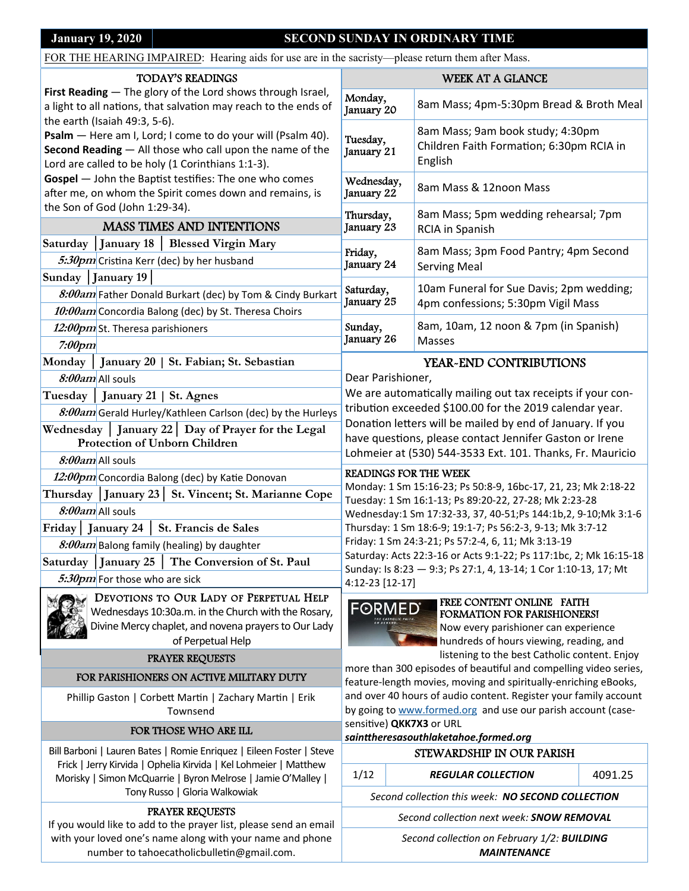#### **January 19, 2020** SECOND SUNDAY IN ORDINARY TIME

FOR THE HEARING IMPAIRED: Hearing aids for use are in the sacristy—please return them after Mass.

| <b>TODAY'S READINGS</b>                                                                                                                                                                                       | WEEK AT A GLANCE                                                                                                                                                                        |                                                                                                                                     |         |
|---------------------------------------------------------------------------------------------------------------------------------------------------------------------------------------------------------------|-----------------------------------------------------------------------------------------------------------------------------------------------------------------------------------------|-------------------------------------------------------------------------------------------------------------------------------------|---------|
| First Reading - The glory of the Lord shows through Israel,<br>a light to all nations, that salvation may reach to the ends of                                                                                | Monday,<br>January 20                                                                                                                                                                   | 8am Mass; 4pm-5:30pm Bread & Broth Meal                                                                                             |         |
| the earth (Isaiah 49:3, 5-6).<br>Psalm - Here am I, Lord; I come to do your will (Psalm 40).<br>Second Reading - All those who call upon the name of the<br>Lord are called to be holy (1 Corinthians 1:1-3). | Tuesday,<br>January 21                                                                                                                                                                  | 8am Mass; 9am book study; 4:30pm<br>Children Faith Formation; 6:30pm RCIA in<br>English                                             |         |
| Gospel - John the Baptist testifies: The one who comes<br>after me, on whom the Spirit comes down and remains, is                                                                                             | Wednesday,<br>January 22                                                                                                                                                                | 8am Mass & 12noon Mass                                                                                                              |         |
| the Son of God (John 1:29-34).<br><b>MASS TIMES AND INTENTIONS</b>                                                                                                                                            | Thursday,<br>January 23                                                                                                                                                                 | 8am Mass; 5pm wedding rehearsal; 7pm<br>RCIA in Spanish                                                                             |         |
| Saturday $\int$ January 18<br><b>Blessed Virgin Mary</b>                                                                                                                                                      |                                                                                                                                                                                         |                                                                                                                                     |         |
| 5:30pm Cristina Kerr (dec) by her husband                                                                                                                                                                     | 8am Mass; 3pm Food Pantry; 4pm Second<br>Friday,<br>January 24<br><b>Serving Meal</b>                                                                                                   |                                                                                                                                     |         |
| Sunday   January 19<br>8:00am Father Donald Burkart (dec) by Tom & Cindy Burkart<br>10:00am Concordia Balong (dec) by St. Theresa Choirs                                                                      | Saturday,<br>January 25                                                                                                                                                                 | 10am Funeral for Sue Davis; 2pm wedding;<br>4pm confessions; 5:30pm Vigil Mass                                                      |         |
| 12:00pm St. Theresa parishioners<br>$7:00$ pm                                                                                                                                                                 | Sunday,<br>January 26                                                                                                                                                                   | 8am, 10am, 12 noon & 7pm (in Spanish)<br><b>Masses</b>                                                                              |         |
| Monday   January 20   St. Fabian; St. Sebastian<br>8:00am All souls                                                                                                                                           | YEAR-END CONTRIBUTIONS<br>Dear Parishioner,                                                                                                                                             |                                                                                                                                     |         |
| Tuesday   January 21   St. Agnes                                                                                                                                                                              | We are automatically mailing out tax receipts if your con-                                                                                                                              |                                                                                                                                     |         |
| 8:00am Gerald Hurley/Kathleen Carlson (dec) by the Hurleys                                                                                                                                                    | tribution exceeded \$100.00 for the 2019 calendar year.                                                                                                                                 |                                                                                                                                     |         |
| Wednesday   January 22   Day of Prayer for the Legal<br>Protection of Unborn Children                                                                                                                         | Donation letters will be mailed by end of January. If you<br>have questions, please contact Jennifer Gaston or Irene<br>Lohmeier at (530) 544-3533 Ext. 101. Thanks, Fr. Mauricio       |                                                                                                                                     |         |
| 8:00am All souls                                                                                                                                                                                              | <b>READINGS FOR THE WEEK</b>                                                                                                                                                            |                                                                                                                                     |         |
| 12:00pm Concordia Balong (dec) by Katie Donovan                                                                                                                                                               | Monday: 1 Sm 15:16-23; Ps 50:8-9, 16bc-17, 21, 23; Mk 2:18-22<br>Tuesday: 1 Sm 16:1-13; Ps 89:20-22, 27-28; Mk 2:23-28<br>Wednesday:1 Sm 17:32-33, 37, 40-51;Ps 144:1b,2, 9-10;Mk 3:1-6 |                                                                                                                                     |         |
| Thursday   January 23   St. Vincent; St. Marianne Cope<br>8:00am All souls                                                                                                                                    |                                                                                                                                                                                         |                                                                                                                                     |         |
| Friday   January 24<br>St. Francis de Sales                                                                                                                                                                   |                                                                                                                                                                                         | Thursday: 1 Sm 18:6-9; 19:1-7; Ps 56:2-3, 9-13; Mk 3:7-12                                                                           |         |
| 8:00am Balong family (healing) by daughter                                                                                                                                                                    |                                                                                                                                                                                         | Friday: 1 Sm 24:3-21; Ps 57:2-4, 6, 11; Mk 3:13-19                                                                                  |         |
| Saturday   January 25   The Conversion of St. Paul                                                                                                                                                            | Saturday: Acts 22:3-16 or Acts 9:1-22; Ps 117:1bc, 2; Mk 16:15-18<br>Sunday: Is 8:23 – 9:3; Ps 27:1, 4, 13-14; 1 Cor 1:10-13, 17; Mt                                                    |                                                                                                                                     |         |
| 5:30pm For those who are sick                                                                                                                                                                                 | 4:12-23 [12-17]                                                                                                                                                                         |                                                                                                                                     |         |
| DEVOTIONS TO OUR LADY OF PERPETUAL HELP<br>Wednesdays 10:30a.m. in the Church with the Rosary,<br>Divine Mercy chaplet, and novena prayers to Our Lady<br>of Perpetual Help                                   | FREE CONTENT ONLINE FAITH<br>FORN<br>FORMATION FOR PARISHIONERS!<br>THE CATHOLIC FAITH<br>ON DEMAND<br>Now every parishioner can experience<br>hundreds of hours viewing, reading, and  |                                                                                                                                     |         |
| PRAYER REQUESTS                                                                                                                                                                                               |                                                                                                                                                                                         | listening to the best Catholic content. Enjoy                                                                                       |         |
| FOR PARISHIONERS ON ACTIVE MILITARY DUTY                                                                                                                                                                      |                                                                                                                                                                                         | more than 300 episodes of beautiful and compelling video series,<br>feature-length movies, moving and spiritually-enriching eBooks, |         |
| Phillip Gaston   Corbett Martin   Zachary Martin   Erik<br>Townsend                                                                                                                                           | and over 40 hours of audio content. Register your family account<br>by going to www.formed.org and use our parish account (case-                                                        |                                                                                                                                     |         |
| FOR THOSE WHO ARE ILL                                                                                                                                                                                         | sensitive) QKK7X3 or URL<br>sainttheresasouthlaketahoe.formed.org                                                                                                                       |                                                                                                                                     |         |
| Bill Barboni   Lauren Bates   Romie Enriquez   Eileen Foster   Steve                                                                                                                                          | STEWARDSHIP IN OUR PARISH                                                                                                                                                               |                                                                                                                                     |         |
| Frick   Jerry Kirvida   Ophelia Kirvida   Kel Lohmeier   Matthew                                                                                                                                              |                                                                                                                                                                                         |                                                                                                                                     |         |
| Morisky   Simon McQuarrie   Byron Melrose   Jamie O'Malley  <br>Tony Russo   Gloria Walkowiak                                                                                                                 | 1/12                                                                                                                                                                                    | <b>REGULAR COLLECTION</b>                                                                                                           | 4091.25 |
| PRAYER REQUESTS                                                                                                                                                                                               | Second collection this week: NO SECOND COLLECTION                                                                                                                                       |                                                                                                                                     |         |
| If you would like to add to the prayer list, please send an email                                                                                                                                             | Second collection next week: SNOW REMOVAL                                                                                                                                               |                                                                                                                                     |         |
| with your loved one's name along with your name and phone<br>number to tahoecatholicbulletin@gmail.com.                                                                                                       | Second collection on February 1/2: BUILDING<br><b>MAINTENANCE</b>                                                                                                                       |                                                                                                                                     |         |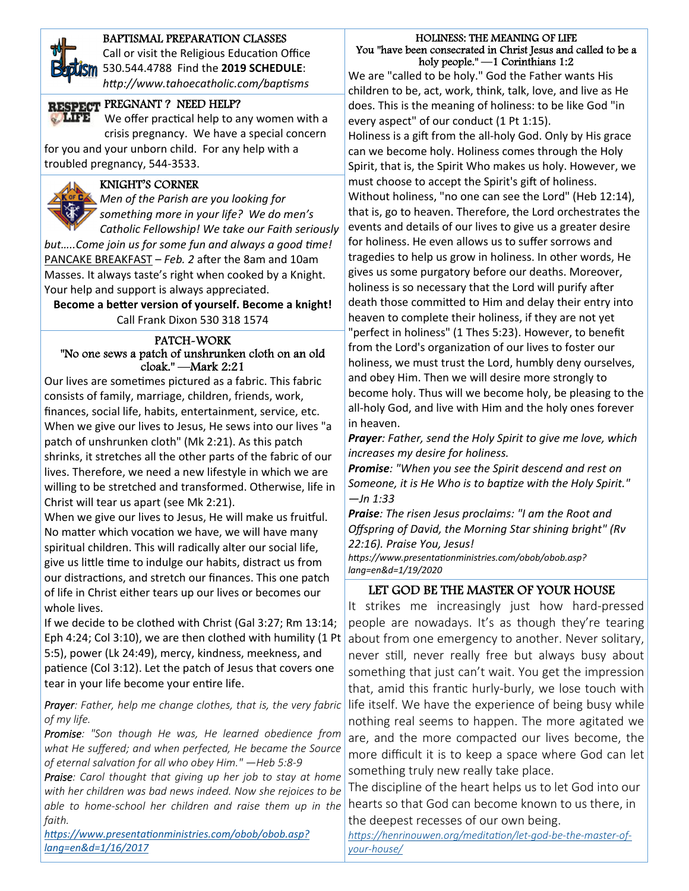

#### BAPTISMAL PREPARATION CLASSES

 *hƩp://www.tahoecatholic.com/bapƟsms* Call or visit the Religious Education Office 530.544.4788 Find the **2019 SCHEDULE**:

#### RESPECT PREGNANT? NEED HELP?

 crisis pregnancy. We have a special concern We offer practical help to any women with a

for you and your unborn child. For any help with a troubled pregnancy, 544‐3533.

#### KNIGHT'S CORNER

 *Catholic Fellowship! We take our Faith seriously Men of the Parish are you looking for something more in your life? We do men's* 

*but.....Come join us for some fun and always a good time!* PANCAKE BREAKFAST - Feb. 2 after the 8am and 10am Masses. It always taste's right when cooked by a Knight. Your help and support is always appreciated.

**Become a beƩer version of yourself. Become a knight!** Call Frank Dixon 530 318 1574

#### PATCH-WORK "No one sews a patch of unshrunken cloth on an old cloak." —Mark 2:21

Our lives are sometimes pictured as a fabric. This fabric consists of family, marriage, children, friends, work, finances, social life, habits, entertainment, service, etc. When we give our lives to Jesus, He sews into our lives "a patch of unshrunken cloth" (Mk 2:21). As this patch shrinks, it stretches all the other parts of the fabric of our lives. Therefore, we need a new lifestyle in which we are willing to be stretched and transformed. Otherwise, life in Christ will tear us apart (see Mk 2:21).

When we give our lives to Jesus, He will make us fruitful. No matter which vocation we have, we will have many spiritual children. This will radically alter our social life, give us little time to indulge our habits, distract us from our distractions, and stretch our finances. This one patch of life in Christ either tears up our lives or becomes our whole lives.

If we decide to be clothed with Christ (Gal 3:27; Rm 13:14; Eph 4:24; Col 3:10), we are then clothed with humility (1 Pt 5:5), power (Lk 24:49), mercy, kindness, meekness, and patience (Col 3:12). Let the patch of Jesus that covers one tear in your life become your entire life.

*Prayer: Father, help me change clothes, that is, the very fabric of my life.* 

*Promise: "Son though He was, He learned obedience from what He suffered; and when perfected, He became the Source of eternal salvaƟon for all who obey Him." —Heb 5:8‐9* 

*Praise: Carol thought that giving up her job to stay at home with her children was bad news indeed. Now she rejoices to be able to home‐school her children and raise them up in the faith.* 

*hƩps://www.presentaƟonministries.com/obob/obob.asp? lang=en&d=1/16/2017* 

#### HOLINESS: THE MEANING OF LIFE You "have been consecrated in Christ Jesus and called to be a holy people." —1 Corinthians 1:2

We are "called to be holy." God the Father wants His children to be, act, work, think, talk, love, and live as He does. This is the meaning of holiness: to be like God "in every aspect" of our conduct (1 Pt 1:15). Holiness is a gift from the all-holy God. Only by His grace can we become holy. Holiness comes through the Holy Spirit, that is, the Spirit Who makes us holy. However, we must choose to accept the Spirit's gift of holiness. Without holiness, "no one can see the Lord" (Heb 12:14), that is, go to heaven. Therefore, the Lord orchestrates the events and details of our lives to give us a greater desire for holiness. He even allows us to suffer sorrows and tragedies to help us grow in holiness. In other words, He gives us some purgatory before our deaths. Moreover, holiness is so necessary that the Lord will purify after death those committed to Him and delay their entry into heaven to complete their holiness, if they are not yet "perfect in holiness" (1 Thes 5:23). However, to benefit from the Lord's organization of our lives to foster our holiness, we must trust the Lord, humbly deny ourselves, and obey Him. Then we will desire more strongly to become holy. Thus will we become holy, be pleasing to the all‐holy God, and live with Him and the holy ones forever in heaven.

*Prayer: Father, send the Holy Spirit to give me love, which increases my desire for holiness.* 

*Promise: "When you see the Spirit descend and rest on Someone, it is He Who is to bapƟze with the Holy Spirit." —Jn 1:33* 

*Praise: The risen Jesus proclaims: "I am the Root and Offspring of David, the Morning Star shining bright" (Rv 22:16). Praise You, Jesus!* 

*hƩps://www.presentaƟonministries.com/obob/obob.asp? lang=en&d=1/19/2020* 

#### LET GOD BE THE MASTER OF YOUR HOUSE

It strikes me increasingly just how hard‐pressed people are nowadays. It's as though they're tearing about from one emergency to another. Never solitary, never still, never really free but always busy about something that just can't wait. You get the impression that, amid this franƟc hurly‐burly, we lose touch with life itself. We have the experience of being busy while nothing real seems to happen. The more agitated we are, and the more compacted our lives become, the more difficult it is to keep a space where God can let something truly new really take place.

The discipline of the heart helps us to let God into our hearts so that God can become known to us there, in the deepest recesses of our own being.

*hƩps://henrinouwen.org/meditaƟon/let‐god‐be‐the‐master‐of‐ your‐house/*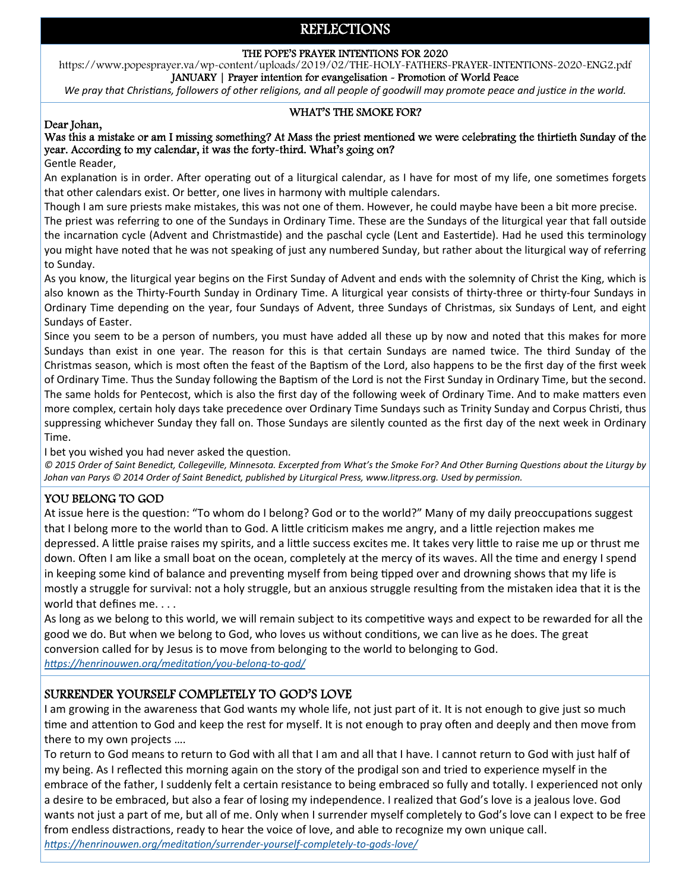#### REFLECTIONS

#### THE POPE'S PRAYER INTENTIONS FOR 2020

https://www.popesprayer.va/wp-content/uploads/2019/02/THE-HOLY-FATHERS-PRAYER-INTENTIONS-2020-ENG2.pdf JANUARY | Prayer intention for evangelisation - Promotion of World Peace

*We pray that Christians, followers of other religions, and all people of goodwill may promote peace and justice in the world.* 

#### WHAT'S THE SMOKE FOR?

#### Dear Johan,

#### Was this a mistake or am I missing something? At Mass the priest mentioned we were celebrating the thirtieth Sunday of the year. According to my calendar, it was the forty-third. What's going on?

Gentle Reader,

An explanation is in order. After operating out of a liturgical calendar, as I have for most of my life, one sometimes forgets that other calendars exist. Or better, one lives in harmony with multiple calendars.

Though I am sure priests make mistakes, this was not one of them. However, he could maybe have been a bit more precise.

The priest was referring to one of the Sundays in Ordinary Time. These are the Sundays of the liturgical year that fall outside the incarnation cycle (Advent and Christmastide) and the paschal cycle (Lent and Eastertide). Had he used this terminology you might have noted that he was not speaking of just any numbered Sunday, but rather about the liturgical way of referring to Sunday.

As you know, the liturgical year begins on the First Sunday of Advent and ends with the solemnity of Christ the King, which is also known as the Thirty‐Fourth Sunday in Ordinary Time. A liturgical year consists of thirty‐three or thirty‐four Sundays in Ordinary Time depending on the year, four Sundays of Advent, three Sundays of Christmas, six Sundays of Lent, and eight Sundays of Easter.

Since you seem to be a person of numbers, you must have added all these up by now and noted that this makes for more Sundays than exist in one year. The reason for this is that certain Sundays are named twice. The third Sunday of the Christmas season, which is most often the feast of the Baptism of the Lord, also happens to be the first day of the first week of Ordinary Time. Thus the Sunday following the Baptism of the Lord is not the First Sunday in Ordinary Time, but the second. The same holds for Pentecost, which is also the first day of the following week of Ordinary Time. And to make matters even more complex, certain holy days take precedence over Ordinary Time Sundays such as Trinity Sunday and Corpus Christi, thus suppressing whichever Sunday they fall on. Those Sundays are silently counted as the first day of the next week in Ordinary Time.

I bet you wished you had never asked the question.

*© 2015 Order of Saint Benedict, Collegeville, Minnesota. Excerpted from What's the Smoke For? And Other Burning QuesƟons about the Liturgy by*  Johan van Parys © 2014 Order of Saint Benedict, published by Liturgical Press, www.litpress.org. Used by permission.

#### YOU BELONG TO GOD

At issue here is the question: "To whom do I belong? God or to the world?" Many of my daily preoccupations suggest that I belong more to the world than to God. A little criticism makes me angry, and a little rejection makes me depressed. A little praise raises my spirits, and a little success excites me. It takes very little to raise me up or thrust me down. Often I am like a small boat on the ocean, completely at the mercy of its waves. All the time and energy I spend in keeping some kind of balance and preventing myself from being tipped over and drowning shows that my life is mostly a struggle for survival: not a holy struggle, but an anxious struggle resulting from the mistaken idea that it is the world that defines me. . . .

As long as we belong to this world, we will remain subject to its competitive ways and expect to be rewarded for all the good we do. But when we belong to God, who loves us without conditions, we can live as he does. The great conversion called for by Jesus is to move from belonging to the world to belonging to God. *hƩps://henrinouwen.org/meditaƟon/you‐belong‐to‐god/*

#### SURRENDER YOURSELF COMPLETELY TO GOD'S LOVE

I am growing in the awareness that God wants my whole life, not just part of it. It is not enough to give just so much time and attention to God and keep the rest for myself. It is not enough to pray often and deeply and then move from there to my own projects ….

To return to God means to return to God with all that I am and all that I have. I cannot return to God with just half of my being. As I reflected this morning again on the story of the prodigal son and tried to experience myself in the embrace of the father, I suddenly felt a certain resistance to being embraced so fully and totally. I experienced not only a desire to be embraced, but also a fear of losing my independence. I realized that God's love is a jealous love. God wants not just a part of me, but all of me. Only when I surrender myself completely to God's love can I expect to be free from endless distractions, ready to hear the voice of love, and able to recognize my own unique call. *hƩps://henrinouwen.org/meditaƟon/surrender‐yourself‐completely‐to‐gods‐love/*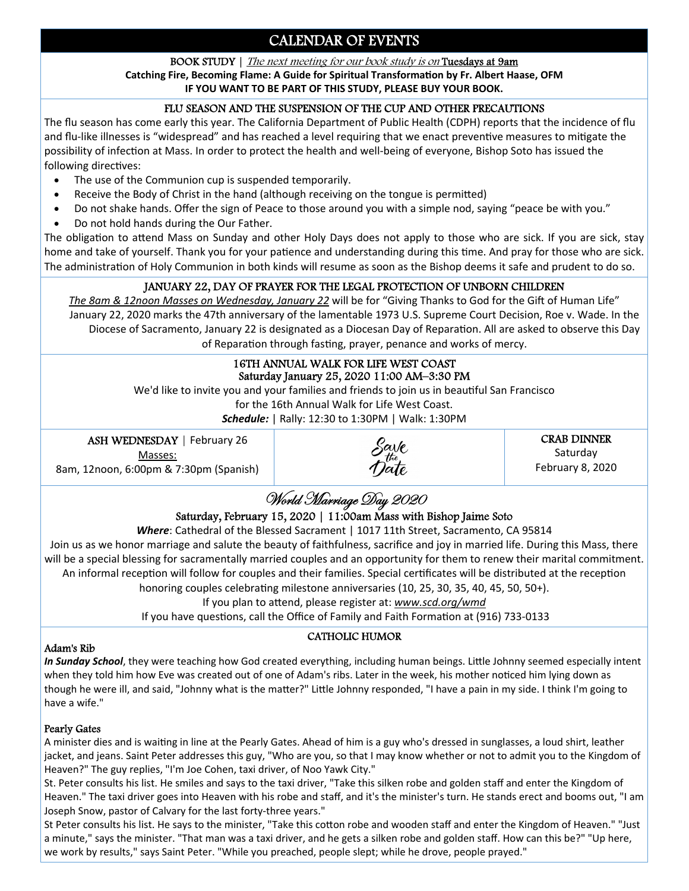### CALENDAR OF EVENTS

#### BOOK STUDY | The next meeting for our book study is on Tuesdays at 9am

**Catching Fire, Becoming Flame: A Guide for Spiritual TransformaƟon by Fr. Albert Haase, OFM**

**IF YOU WANT TO BE PART OF THIS STUDY, PLEASE BUY YOUR BOOK.**

#### FLU SEASON AND THE SUSPENSION OF THE CUP AND OTHER PRECAUTIONS

The flu season has come early this year. The California Department of Public Health (CDPH) reports that the incidence of flu and flu-like illnesses is "widespread" and has reached a level requiring that we enact preventive measures to mitigate the possibility of infection at Mass. In order to protect the health and well-being of everyone, Bishop Soto has issued the following directives:

- The use of the Communion cup is suspended temporarily.
- Receive the Body of Christ in the hand (although receiving on the tongue is permitted)
- Do not shake hands. Offer the sign of Peace to those around you with a simple nod, saying "peace be with you."
- Do not hold hands during the Our Father.

The obligation to attend Mass on Sunday and other Holy Days does not apply to those who are sick. If you are sick, stay home and take of yourself. Thank you for your patience and understanding during this time. And pray for those who are sick. The administration of Holy Communion in both kinds will resume as soon as the Bishop deems it safe and prudent to do so.

#### JANUARY 22, DAY OF PRAYER FOR THE LEGAL PROTECTION OF UNBORN CHILDREN

*The 8am & 12noon Masses on Wednesday, January 22* will be for "Giving Thanks to God for the Gift of Human Life" January 22, 2020 marks the 47th anniversary of the lamentable 1973 U.S. Supreme Court Decision, Roe v. Wade. In the Diocese of Sacramento, January 22 is designated as a Diocesan Day of Reparation. All are asked to observe this Day of Reparation through fasting, prayer, penance and works of mercy.

#### 16TH ANNUAL WALK FOR LIFE WEST COAST Saturday January 25, 2020 11:00 AM–3:30 PM

We'd like to invite you and your families and friends to join us in beautiful San Francisco for the 16th Annual Walk for Life West Coast.

*Schedule:* | Rally: 12:30 to 1:30PM | Walk: 1:30PM

ASH WEDNESDAY | February 26 Masses: 8am, 12noon, 6:00pm & 7:30pm (Spanish)



CRAB DINNER Saturday February 8, 2020

# waxaa Marriage Day 2020

#### Saturday, February 15, 2020 | 11:00am Mass with Bishop Jaime Soto

*Where*: Cathedral of the Blessed Sacrament | 1017 11th Street, Sacramento, CA 95814

Join us as we honor marriage and salute the beauty of faithfulness, sacrifice and joy in married life. During this Mass, there will be a special blessing for sacramentally married couples and an opportunity for them to renew their marital commitment. An informal reception will follow for couples and their families. Special certificates will be distributed at the reception honoring couples celebrating milestone anniversaries (10, 25, 30, 35, 40, 45, 50, 50+).

If you plan to attend, please register at: *www.scd.org/wmd* 

If you have questions, call the Office of Family and Faith Formation at (916) 733-0133

#### CATHOLIC HUMOR

#### Adam's Rib

In Sunday School, they were teaching how God created everything, including human beings. Little Johnny seemed especially intent when they told him how Eve was created out of one of Adam's ribs. Later in the week, his mother noticed him lying down as though he were ill, and said, "Johnny what is the matter?" Little Johnny responded, "I have a pain in my side. I think I'm going to have a wife."

#### Pearly Gates

A minister dies and is waiting in line at the Pearly Gates. Ahead of him is a guy who's dressed in sunglasses, a loud shirt, leather jacket, and jeans. Saint Peter addresses this guy, "Who are you, so that I may know whether or not to admit you to the Kingdom of Heaven?" The guy replies, "I'm Joe Cohen, taxi driver, of Noo Yawk City."

St. Peter consults his list. He smiles and says to the taxi driver, "Take this silken robe and golden staff and enter the Kingdom of Heaven." The taxi driver goes into Heaven with his robe and staff, and it's the minister's turn. He stands erect and booms out, "I am Joseph Snow, pastor of Calvary for the last forty‐three years."

St Peter consults his list. He says to the minister, "Take this cotton robe and wooden staff and enter the Kingdom of Heaven." "Just a minute," says the minister. "That man was a taxi driver, and he gets a silken robe and golden staff. How can this be?" "Up here, we work by results," says Saint Peter. "While you preached, people slept; while he drove, people prayed."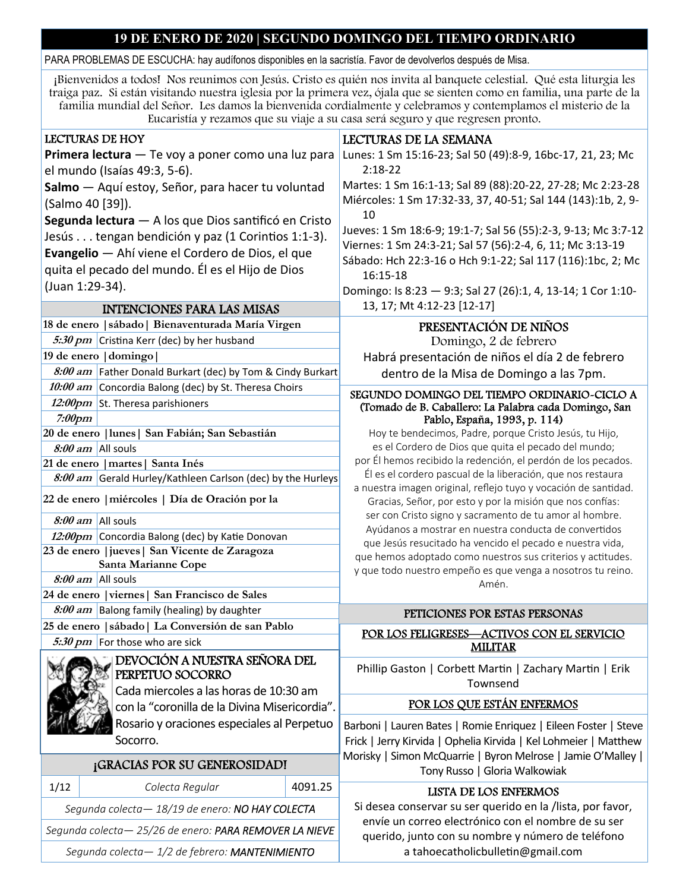#### **19 DE ENERO DE 2020 | SEGUNDO DOMINGO DEL TIEMPO ORDINARIO**

PARA PROBLEMAS DE ESCUCHA: hay audífonos disponibles en la sacristía. Favor de devolverlos después de Misa.

¡Bienvenidos a todos! Nos reunimos con Jesús. Cristo es quién nos invita al banquete celestial. Qué esta liturgia les traiga paz. Si están visitando nuestra iglesia por la primera vez, ójala que se sienten como en familia, una parte de la familia mundial del Señor. Les damos la bienvenida cordialmente y celebramos y contemplamos el misterio de la Eucaristía y rezamos que su viaje a su casa será seguro y que regresen pronto.

| <b>LECTURAS DE HOY</b>                                                                                   | LECTURAS DE LA SEMANA                                                                                                                                                                                                                                                                                                                                                                                                                                                                                                                                                                                                                                                                                                                                                                                                                   |  |  |
|----------------------------------------------------------------------------------------------------------|-----------------------------------------------------------------------------------------------------------------------------------------------------------------------------------------------------------------------------------------------------------------------------------------------------------------------------------------------------------------------------------------------------------------------------------------------------------------------------------------------------------------------------------------------------------------------------------------------------------------------------------------------------------------------------------------------------------------------------------------------------------------------------------------------------------------------------------------|--|--|
| Primera lectura - Te voy a poner como una luz para                                                       | Lunes: 1 Sm 15:16-23; Sal 50 (49):8-9, 16bc-17, 21, 23; Mc                                                                                                                                                                                                                                                                                                                                                                                                                                                                                                                                                                                                                                                                                                                                                                              |  |  |
| el mundo (Isaías 49:3, 5-6).                                                                             | $2:18-22$                                                                                                                                                                                                                                                                                                                                                                                                                                                                                                                                                                                                                                                                                                                                                                                                                               |  |  |
| Salmo - Aquí estoy, Señor, para hacer tu voluntad                                                        | Martes: 1 Sm 16:1-13; Sal 89 (88):20-22, 27-28; Mc 2:23-28                                                                                                                                                                                                                                                                                                                                                                                                                                                                                                                                                                                                                                                                                                                                                                              |  |  |
| (Salmo 40 [39]).                                                                                         | Miércoles: 1 Sm 17:32-33, 37, 40-51; Sal 144 (143):1b, 2, 9-                                                                                                                                                                                                                                                                                                                                                                                                                                                                                                                                                                                                                                                                                                                                                                            |  |  |
| Segunda lectura - A los que Dios santificó en Cristo                                                     | 10                                                                                                                                                                                                                                                                                                                                                                                                                                                                                                                                                                                                                                                                                                                                                                                                                                      |  |  |
| Jesús tengan bendición y paz (1 Corintios 1:1-3).                                                        | Jueves: 1 Sm 18:6-9; 19:1-7; Sal 56 (55):2-3, 9-13; Mc 3:7-12<br>Viernes: 1 Sm 24:3-21; Sal 57 (56):2-4, 6, 11; Mc 3:13-19<br>Sábado: Hch 22:3-16 o Hch 9:1-22; Sal 117 (116):1bc, 2; Mc                                                                                                                                                                                                                                                                                                                                                                                                                                                                                                                                                                                                                                                |  |  |
| Evangelio - Ahí viene el Cordero de Dios, el que                                                         |                                                                                                                                                                                                                                                                                                                                                                                                                                                                                                                                                                                                                                                                                                                                                                                                                                         |  |  |
| quita el pecado del mundo. Él es el Hijo de Dios                                                         |                                                                                                                                                                                                                                                                                                                                                                                                                                                                                                                                                                                                                                                                                                                                                                                                                                         |  |  |
| (Juan 1:29-34).                                                                                          | 16:15-18                                                                                                                                                                                                                                                                                                                                                                                                                                                                                                                                                                                                                                                                                                                                                                                                                                |  |  |
|                                                                                                          | Domingo: Is 8:23 - 9:3; Sal 27 (26):1, 4, 13-14; 1 Cor 1:10-                                                                                                                                                                                                                                                                                                                                                                                                                                                                                                                                                                                                                                                                                                                                                                            |  |  |
| <b>INTENCIONES PARA LAS MISAS</b>                                                                        | 13, 17; Mt 4:12-23 [12-17]                                                                                                                                                                                                                                                                                                                                                                                                                                                                                                                                                                                                                                                                                                                                                                                                              |  |  |
| 18 de enero   sábado   Bienaventurada María Virgen                                                       | PRESENTACIÓN DE NIÑOS                                                                                                                                                                                                                                                                                                                                                                                                                                                                                                                                                                                                                                                                                                                                                                                                                   |  |  |
| 5:30 pm Cristina Kerr (dec) by her husband                                                               | Domingo, 2 de febrero                                                                                                                                                                                                                                                                                                                                                                                                                                                                                                                                                                                                                                                                                                                                                                                                                   |  |  |
| 19 de enero   domingo                                                                                    | Habrá presentación de niños el día 2 de febrero                                                                                                                                                                                                                                                                                                                                                                                                                                                                                                                                                                                                                                                                                                                                                                                         |  |  |
| 8:00 am Father Donald Burkart (dec) by Tom & Cindy Burkart                                               | dentro de la Misa de Domingo a las 7pm.                                                                                                                                                                                                                                                                                                                                                                                                                                                                                                                                                                                                                                                                                                                                                                                                 |  |  |
| 10:00 am Concordia Balong (dec) by St. Theresa Choirs                                                    | SEGUNDO DOMINGO DEL TIEMPO ORDINARIO~CICLO A<br>(Tomado de B. Caballero: La Palabra cada Domingo, San<br>Pablo, España, 1993, p. 114)<br>Hoy te bendecimos, Padre, porque Cristo Jesús, tu Hijo,<br>es el Cordero de Dios que quita el pecado del mundo;<br>por Él hemos recibido la redención, el perdón de los pecados.<br>Él es el cordero pascual de la liberación, que nos restaura<br>a nuestra imagen original, reflejo tuyo y vocación de santidad.<br>Gracias, Señor, por esto y por la misión que nos confías:<br>ser con Cristo signo y sacramento de tu amor al hombre.<br>Ayúdanos a mostrar en nuestra conducta de convertidos<br>que Jesús resucitado ha vencido el pecado e nuestra vida,<br>que hemos adoptado como nuestros sus criterios y actitudes.<br>y que todo nuestro empeño es que venga a nosotros tu reino. |  |  |
| 12:00pm St. Theresa parishioners                                                                         |                                                                                                                                                                                                                                                                                                                                                                                                                                                                                                                                                                                                                                                                                                                                                                                                                                         |  |  |
| $7:00$ pm                                                                                                |                                                                                                                                                                                                                                                                                                                                                                                                                                                                                                                                                                                                                                                                                                                                                                                                                                         |  |  |
| 20 de enero   lunes   San Fabián; San Sebastián                                                          |                                                                                                                                                                                                                                                                                                                                                                                                                                                                                                                                                                                                                                                                                                                                                                                                                                         |  |  |
| $8:00$ am All souls                                                                                      |                                                                                                                                                                                                                                                                                                                                                                                                                                                                                                                                                                                                                                                                                                                                                                                                                                         |  |  |
| 21 de enero   martes   Santa Inés                                                                        |                                                                                                                                                                                                                                                                                                                                                                                                                                                                                                                                                                                                                                                                                                                                                                                                                                         |  |  |
| 8:00 am Gerald Hurley/Kathleen Carlson (dec) by the Hurleys                                              |                                                                                                                                                                                                                                                                                                                                                                                                                                                                                                                                                                                                                                                                                                                                                                                                                                         |  |  |
| 22 de enero   miércoles   Día de Oración por la                                                          |                                                                                                                                                                                                                                                                                                                                                                                                                                                                                                                                                                                                                                                                                                                                                                                                                                         |  |  |
| $8:00$ am All souls                                                                                      |                                                                                                                                                                                                                                                                                                                                                                                                                                                                                                                                                                                                                                                                                                                                                                                                                                         |  |  |
| 12:00pm Concordia Balong (dec) by Katie Donovan                                                          |                                                                                                                                                                                                                                                                                                                                                                                                                                                                                                                                                                                                                                                                                                                                                                                                                                         |  |  |
| 23 de enero   jueves   San Vicente de Zaragoza                                                           |                                                                                                                                                                                                                                                                                                                                                                                                                                                                                                                                                                                                                                                                                                                                                                                                                                         |  |  |
| Santa Marianne Cope                                                                                      |                                                                                                                                                                                                                                                                                                                                                                                                                                                                                                                                                                                                                                                                                                                                                                                                                                         |  |  |
| $8:00$ am All souls                                                                                      | Amén.                                                                                                                                                                                                                                                                                                                                                                                                                                                                                                                                                                                                                                                                                                                                                                                                                                   |  |  |
| 24 de enero   viernes   San Francisco de Sales                                                           |                                                                                                                                                                                                                                                                                                                                                                                                                                                                                                                                                                                                                                                                                                                                                                                                                                         |  |  |
|                                                                                                          |                                                                                                                                                                                                                                                                                                                                                                                                                                                                                                                                                                                                                                                                                                                                                                                                                                         |  |  |
| 8:00 am Balong family (healing) by daughter                                                              | PETICIONES POR ESTAS PERSONAS                                                                                                                                                                                                                                                                                                                                                                                                                                                                                                                                                                                                                                                                                                                                                                                                           |  |  |
| 25 de enero   sábado   La Conversión de san Pablo                                                        |                                                                                                                                                                                                                                                                                                                                                                                                                                                                                                                                                                                                                                                                                                                                                                                                                                         |  |  |
| 5:30 pm   For those who are sick                                                                         | POR LOS FELIGRESES-ACTIVOS CON EL SERVICIO<br><b>MILITAR</b>                                                                                                                                                                                                                                                                                                                                                                                                                                                                                                                                                                                                                                                                                                                                                                            |  |  |
| DEVOCIÓN A NUESTRA SEÑORA DEL<br>PERPETUO SOCORRO                                                        | Phillip Gaston   Corbett Martin   Zachary Martin   Erik                                                                                                                                                                                                                                                                                                                                                                                                                                                                                                                                                                                                                                                                                                                                                                                 |  |  |
| Cada miercoles a las horas de 10:30 am                                                                   | Townsend                                                                                                                                                                                                                                                                                                                                                                                                                                                                                                                                                                                                                                                                                                                                                                                                                                |  |  |
| con la "coronilla de la Divina Misericordia".                                                            | POR LOS QUE ESTÁN ENFERMOS                                                                                                                                                                                                                                                                                                                                                                                                                                                                                                                                                                                                                                                                                                                                                                                                              |  |  |
| Rosario y oraciones especiales al Perpetuo                                                               | Barboni   Lauren Bates   Romie Enriquez   Eileen Foster   Steve                                                                                                                                                                                                                                                                                                                                                                                                                                                                                                                                                                                                                                                                                                                                                                         |  |  |
| Socorro.                                                                                                 | Frick   Jerry Kirvida   Ophelia Kirvida   Kel Lohmeier   Matthew                                                                                                                                                                                                                                                                                                                                                                                                                                                                                                                                                                                                                                                                                                                                                                        |  |  |
| <b>¡GRACIAS POR SU GENEROSIDADI</b>                                                                      | Morisky   Simon McQuarrie   Byron Melrose   Jamie O'Malley  <br>Tony Russo   Gloria Walkowiak                                                                                                                                                                                                                                                                                                                                                                                                                                                                                                                                                                                                                                                                                                                                           |  |  |
| 1/12<br>4091.25<br>Colecta Regular                                                                       | LISTA DE LOS ENFERMOS                                                                                                                                                                                                                                                                                                                                                                                                                                                                                                                                                                                                                                                                                                                                                                                                                   |  |  |
| Segunda colecta-18/19 de enero: NO HAY COLECTA                                                           | Si desea conservar su ser querido en la /lista, por favor,                                                                                                                                                                                                                                                                                                                                                                                                                                                                                                                                                                                                                                                                                                                                                                              |  |  |
| Segunda colecta - 25/26 de enero: PARA REMOVER LA NIEVE<br>Segunda colecta-1/2 de febrero: MANTENIMIENTO | envíe un correo electrónico con el nombre de su ser<br>querido, junto con su nombre y número de teléfono<br>a tahoecatholicbulletin@gmail.com                                                                                                                                                                                                                                                                                                                                                                                                                                                                                                                                                                                                                                                                                           |  |  |